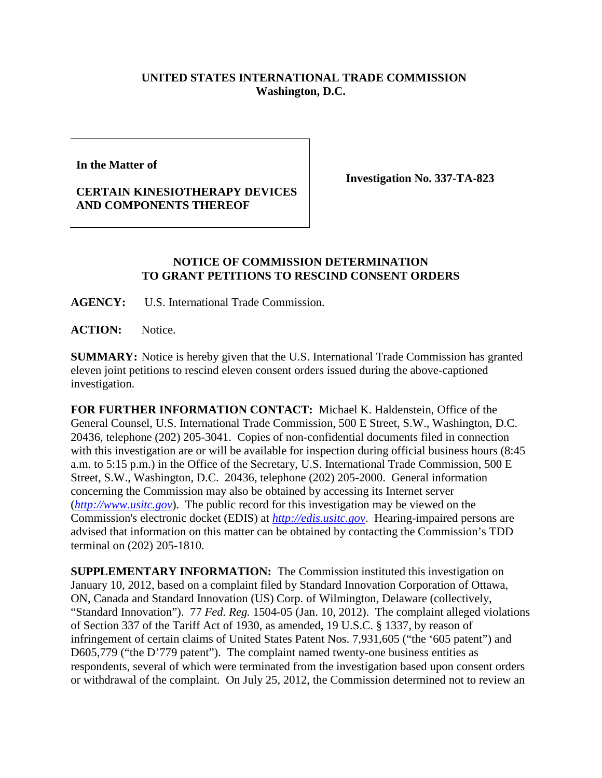## **UNITED STATES INTERNATIONAL TRADE COMMISSION Washington, D.C.**

**In the Matter of**

## **CERTAIN KINESIOTHERAPY DEVICES AND COMPONENTS THEREOF**

**Investigation No. 337-TA-823**

## **NOTICE OF COMMISSION DETERMINATION TO GRANT PETITIONS TO RESCIND CONSENT ORDERS**

**AGENCY:** U.S. International Trade Commission.

**ACTION:** Notice.

**SUMMARY:** Notice is hereby given that the U.S. International Trade Commission has granted eleven joint petitions to rescind eleven consent orders issued during the above-captioned investigation.

**FOR FURTHER INFORMATION CONTACT:** Michael K. Haldenstein, Office of the General Counsel, U.S. International Trade Commission, 500 E Street, S.W., Washington, D.C. 20436, telephone (202) 205-3041. Copies of non-confidential documents filed in connection with this investigation are or will be available for inspection during official business hours (8:45) a.m. to 5:15 p.m.) in the Office of the Secretary, U.S. International Trade Commission, 500 E Street, S.W., Washington, D.C. 20436, telephone (202) 205-2000. General information concerning the Commission may also be obtained by accessing its Internet server (*[http://www.usitc.gov](http://www.usitc.gov/)*). The public record for this investigation may be viewed on the Commission's electronic docket (EDIS) at *[http://edis.usitc.gov](http://edis.usitc.gov/)*. Hearing-impaired persons are advised that information on this matter can be obtained by contacting the Commission's TDD terminal on (202) 205-1810.

**SUPPLEMENTARY INFORMATION:** The Commission instituted this investigation on January 10, 2012, based on a complaint filed by Standard Innovation Corporation of Ottawa, ON, Canada and Standard Innovation (US) Corp. of Wilmington, Delaware (collectively, "Standard Innovation"). 77 *Fed. Reg.* 1504-05 (Jan. 10, 2012). The complaint alleged violations of Section 337 of the Tariff Act of 1930, as amended, 19 U.S.C. § 1337, by reason of infringement of certain claims of United States Patent Nos. 7,931,605 ("the '605 patent") and D605,779 ("the D'779 patent"). The complaint named twenty-one business entities as respondents, several of which were terminated from the investigation based upon consent orders or withdrawal of the complaint. On July 25, 2012, the Commission determined not to review an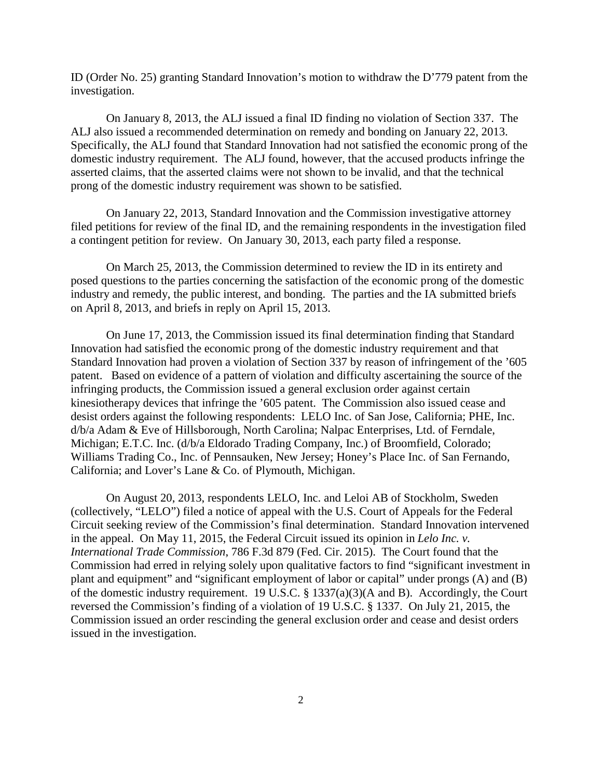ID (Order No. 25) granting Standard Innovation's motion to withdraw the D'779 patent from the investigation.

On January 8, 2013, the ALJ issued a final ID finding no violation of Section 337. The ALJ also issued a recommended determination on remedy and bonding on January 22, 2013. Specifically, the ALJ found that Standard Innovation had not satisfied the economic prong of the domestic industry requirement. The ALJ found, however, that the accused products infringe the asserted claims, that the asserted claims were not shown to be invalid, and that the technical prong of the domestic industry requirement was shown to be satisfied.

On January 22, 2013, Standard Innovation and the Commission investigative attorney filed petitions for review of the final ID, and the remaining respondents in the investigation filed a contingent petition for review. On January 30, 2013, each party filed a response.

On March 25, 2013, the Commission determined to review the ID in its entirety and posed questions to the parties concerning the satisfaction of the economic prong of the domestic industry and remedy, the public interest, and bonding. The parties and the IA submitted briefs on April 8, 2013, and briefs in reply on April 15, 2013.

On June 17, 2013, the Commission issued its final determination finding that Standard Innovation had satisfied the economic prong of the domestic industry requirement and that Standard Innovation had proven a violation of Section 337 by reason of infringement of the '605 patent. Based on evidence of a pattern of violation and difficulty ascertaining the source of the infringing products, the Commission issued a general exclusion order against certain kinesiotherapy devices that infringe the '605 patent. The Commission also issued cease and desist orders against the following respondents: LELO Inc. of San Jose, California; PHE, Inc. d/b/a Adam & Eve of Hillsborough, North Carolina; Nalpac Enterprises, Ltd. of Ferndale, Michigan; E.T.C. Inc. (d/b/a Eldorado Trading Company, Inc.) of Broomfield, Colorado; Williams Trading Co., Inc. of Pennsauken, New Jersey; Honey's Place Inc. of San Fernando, California; and Lover's Lane & Co. of Plymouth, Michigan.

On August 20, 2013, respondents LELO, Inc. and Leloi AB of Stockholm, Sweden (collectively, "LELO") filed a notice of appeal with the U.S. Court of Appeals for the Federal Circuit seeking review of the Commission's final determination. Standard Innovation intervened in the appeal. On May 11, 2015, the Federal Circuit issued its opinion in *Lelo Inc. v. International Trade Commission*, 786 F.3d 879 (Fed. Cir. 2015). The Court found that the Commission had erred in relying solely upon qualitative factors to find "significant investment in plant and equipment" and "significant employment of labor or capital" under prongs (A) and (B) of the domestic industry requirement. 19 U.S.C. § 1337(a)(3)(A and B). Accordingly, the Court reversed the Commission's finding of a violation of 19 U.S.C. § 1337. On July 21, 2015, the Commission issued an order rescinding the general exclusion order and cease and desist orders issued in the investigation.